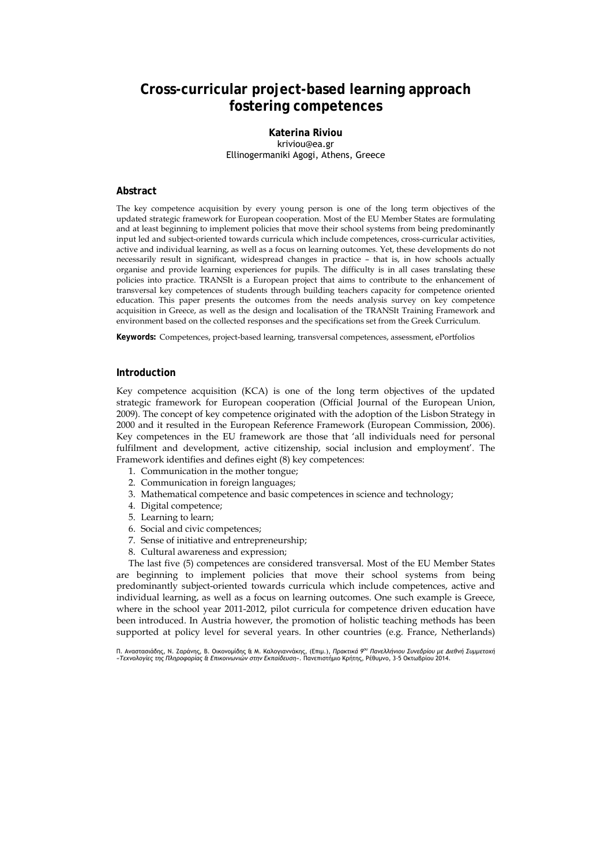# **Cross-curricular project-based learning approach fostering competences**

**Katerina Riviou**  kriviou@ea.gr Ellinogermaniki Agogi, Athens, Greece

# **Abstract**

The key competence acquisition by every young person is one of the long term objectives of the updated strategic framework for European cooperation. Most of the EU Member States are formulating and at least beginning to implement policies that move their school systems from being predominantly input led and subject-oriented towards curricula which include competences, cross-curricular activities, active and individual learning, as well as a focus on learning outcomes. Yet, these developments do not necessarily result in significant, widespread changes in practice – that is, in how schools actually organise and provide learning experiences for pupils. The difficulty is in all cases translating these policies into practice. TRANSIt is a European project that aims to contribute to the enhancement of transversal key competences of students through building teachers capacity for competence oriented education. This paper presents the outcomes from the needs analysis survey on key competence acquisition in Greece, as well as the design and localisation of the TRANSIt Training Framework and environment based on the collected responses and the specifications set from the Greek Curriculum.

**Keywords:** Competences, project-based learning, transversal competences, assessment, ePortfolios

## **Introduction**

Key competence acquisition (KCA) is one of the long term objectives of the updated strategic framework for European cooperation (Official Journal of the European Union, 2009). The concept of key competence originated with the adoption of the Lisbon Strategy in 2000 and it resulted in the European Reference Framework (European Commission, 2006). Key competences in the EU framework are those that 'all individuals need for personal fulfilment and development, active citizenship, social inclusion and employment'. The Framework identifies and defines eight (8) key competences:

- 1. Communication in the mother tongue;
- 2. Communication in foreign languages;
- 3. Mathematical competence and basic competences in science and technology;
- 4. Digital competence;
- 5. Learning to learn;
- 6. Social and civic competences;
- 7. Sense of initiative and entrepreneurship;
- 8. Cultural awareness and expression;

The last five (5) competences are considered transversal. Most of the EU Member States are beginning to implement policies that move their school systems from being predominantly subject-oriented towards curricula which include competences, active and individual learning, as well as a focus on learning outcomes. One such example is Greece, where in the school year 2011-2012, pilot curricula for competence driven education have been introduced. In Austria however, the promotion of holistic teaching methods has been supported at policy level for several years. In other countries (e.g. France, Netherlands)

Π. Αναστασιάδης, Ν. Ζαράνης, Β. Οικονομίδης & Μ. Καλογιαννάκης, (Επιμ.), *Πρακτικά 9ου Πανελλήνιου Συνεδρίου με Διεθνή Συμμετοχή «Τεχνολογίες της Πληροφορίας & Επικοινωνιών στην Εκπαίδευση»*. Πανεπιστήμιο Κρήτης, Ρέθυμνο, 3-5 Οκτωβρίου 2014.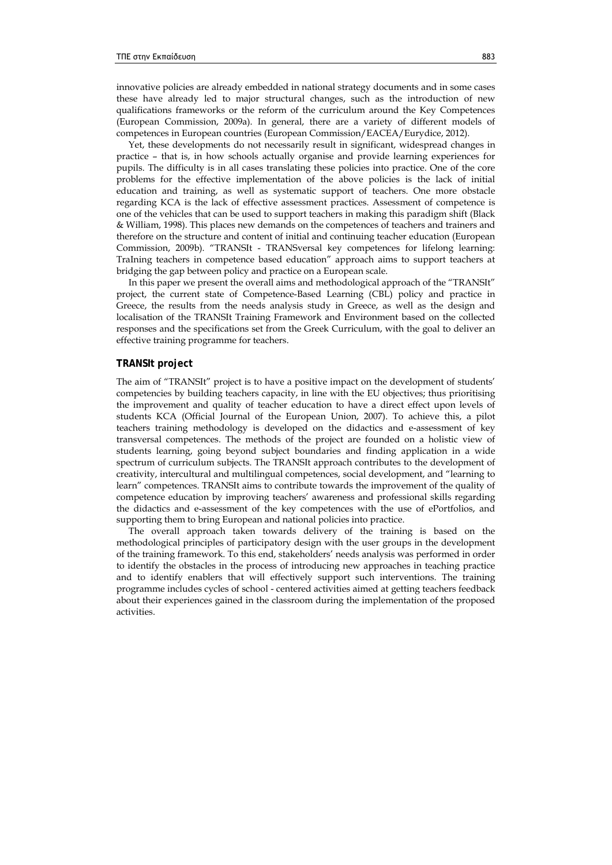innovative policies are already embedded in national strategy documents and in some cases these have already led to major structural changes, such as the introduction of new qualifications frameworks or the reform of the curriculum around the Key Competences (European Commission, 2009a). In general, there are a variety of different models of competences in European countries (European Commission/EACEA/Eurydice, 2012).

Yet, these developments do not necessarily result in significant, widespread changes in practice – that is, in how schools actually organise and provide learning experiences for pupils. The difficulty is in all cases translating these policies into practice. One of the core problems for the effective implementation of the above policies is the lack of initial education and training, as well as systematic support of teachers. One more obstacle regarding KCA is the lack of effective assessment practices. Assessment of competence is one of the vehicles that can be used to support teachers in making this paradigm shift (Black & William, 1998). This places new demands on the competences of teachers and trainers and therefore on the structure and content of initial and continuing teacher education (European Commission, 2009b). "TRANSIt - TRANSversal key competences for lifelong learning: TraIning teachers in competence based education" approach aims to support teachers at bridging the gap between policy and practice on a European scale.

In this paper we present the overall aims and methodological approach of the "TRANSIt" project, the current state of Competence-Based Learning (CBL) policy and practice in Greece, the results from the needs analysis study in Greece, as well as the design and localisation of the TRANSIt Training Framework and Environment based on the collected responses and the specifications set from the Greek Curriculum, with the goal to deliver an effective training programme for teachers.

## **TRANSIt project**

The aim of "TRANSIt" project is to have a positive impact on the development of students' competencies by building teachers capacity, in line with the EU objectives; thus prioritising the improvement and quality of teacher education to have a direct effect upon levels of students KCA (Official Journal of the European Union, 2007). To achieve this, a pilot teachers training methodology is developed on the didactics and e-assessment of key transversal competences. The methods of the project are founded on a holistic view of students learning, going beyond subject boundaries and finding application in a wide spectrum of curriculum subjects. The TRANSIt approach contributes to the development of creativity, intercultural and multilingual competences, social development, and "learning to learn" competences. TRANSIt aims to contribute towards the improvement of the quality of competence education by improving teachers' awareness and professional skills regarding the didactics and e-assessment of the key competences with the use of ePortfolios, and supporting them to bring European and national policies into practice.

The overall approach taken towards delivery of the training is based on the methodological principles of participatory design with the user groups in the development of the training framework. To this end, stakeholders' needs analysis was performed in order to identify the obstacles in the process of introducing new approaches in teaching practice and to identify enablers that will effectively support such interventions. The training programme includes cycles of school - centered activities aimed at getting teachers feedback about their experiences gained in the classroom during the implementation of the proposed activities.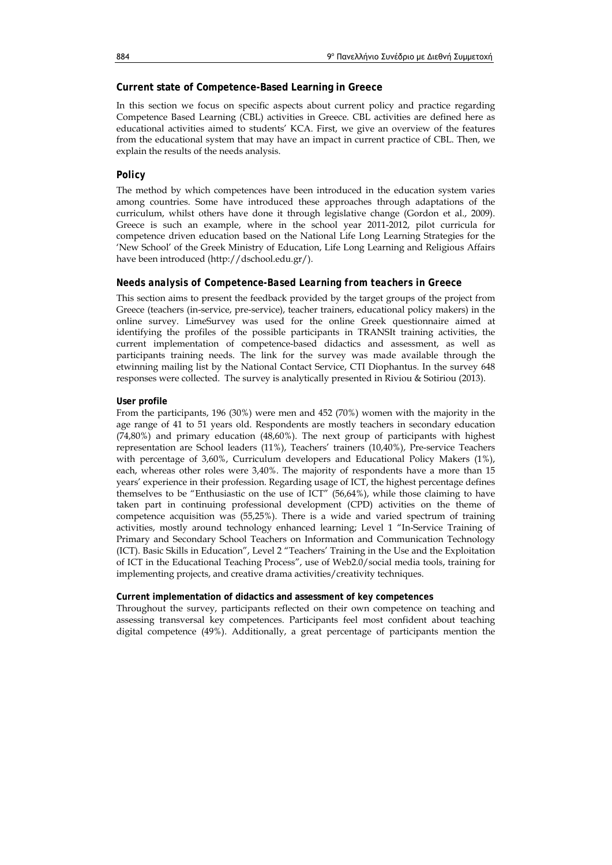# **Current state of Competence-Based Learning in Greece**

In this section we focus on specific aspects about current policy and practice regarding Competence Based Learning (CBL) activities in Greece. CBL activities are defined here as educational activities aimed to students' KCA. First, we give an overview of the features from the educational system that may have an impact in current practice of CBL. Then, we explain the results of the needs analysis.

# *Policy*

The method by which competences have been introduced in the education system varies among countries. Some have introduced these approaches through adaptations of the curriculum, whilst others have done it through legislative change (Gordon et al., 2009). Greece is such an example, where in the school year 2011-2012, pilot curricula for competence driven education based on the National Life Long Learning Strategies for the 'New School' of the Greek Ministry of Education, Life Long Learning and Religious Affairs have been introduced (http://dschool.edu.gr/).

# *Needs analysis of Competence-Based Learning from teachers in Greece*

This section aims to present the feedback provided by the target groups of the project from Greece (teachers (in-service, pre-service), teacher trainers, educational policy makers) in the online survey. LimeSurvey was used for the online Greek questionnaire aimed at identifying the profiles of the possible participants in TRANSIt training activities, the current implementation of competence-based didactics and assessment, as well as participants training needs. The link for the survey was made available through the etwinning mailing list by the National Contact Service, CTI Diophantus. In the survey 648 responses were collected. The survey is analytically presented in Riviou & Sotiriou (2013).

# **User profile**

From the participants, 196 (30%) were men and 452 (70%) women with the majority in the age range of 41 to 51 years old. Respondents are mostly teachers in secondary education (74,80%) and primary education (48,60%). The next group of participants with highest representation are School leaders (11%), Teachers' trainers (10,40%), Pre-service Teachers with percentage of 3,60%, Curriculum developers and Educational Policy Makers (1%), each, whereas other roles were 3,40%. The majority of respondents have a more than 15 years' experience in their profession. Regarding usage of ICT, the highest percentage defines themselves to be "Enthusiastic on the use of ICT" (56,64%), while those claiming to have taken part in continuing professional development (CPD) activities on the theme of competence acquisition was (55,25%). There is a wide and varied spectrum of training activities, mostly around technology enhanced learning; Level 1 "In-Service Training of Primary and Secondary School Teachers on Information and Communication Technology (ICT). Basic Skills in Education", Level 2 "Teachers' Training in the Use and the Exploitation of ICT in the Educational Teaching Process", use of Web2.0/social media tools, training for implementing projects, and creative drama activities/creativity techniques.

# **Current implementation of didactics and assessment of key competences**

Throughout the survey, participants reflected on their own competence on teaching and assessing transversal key competences. Participants feel most confident about teaching digital competence (49%). Additionally, a great percentage of participants mention the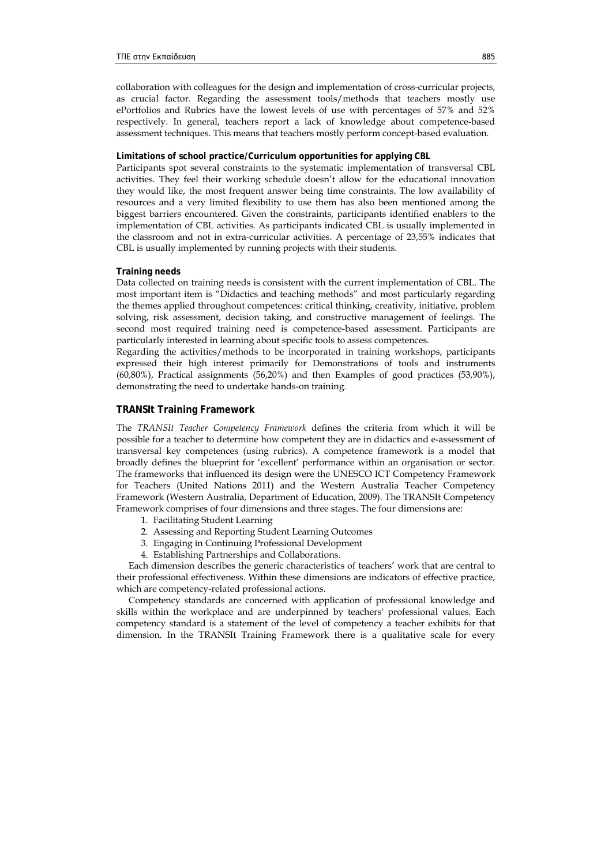collaboration with colleagues for the design and implementation of cross-curricular projects, as crucial factor. Regarding the assessment tools/methods that teachers mostly use ePortfolios and Rubrics have the lowest levels of use with percentages of 57% and 52% respectively. In general, teachers report a lack of knowledge about competence-based assessment techniques. This means that teachers mostly perform concept-based evaluation.

## **Limitations of school practice/Curriculum opportunities for applying CBL**

Participants spot several constraints to the systematic implementation of transversal CBL activities. They feel their working schedule doesn't allow for the educational innovation they would like, the most frequent answer being time constraints. The low availability of resources and a very limited flexibility to use them has also been mentioned among the biggest barriers encountered. Given the constraints, participants identified enablers to the implementation of CBL activities. As participants indicated CBL is usually implemented in the classroom and not in extra-curricular activities. A percentage of 23,55% indicates that CBL is usually implemented by running projects with their students.

#### **Training needs**

Data collected on training needs is consistent with the current implementation of CBL. The most important item is "Didactics and teaching methods" and most particularly regarding the themes applied throughout competences: critical thinking, creativity, initiative, problem solving, risk assessment, decision taking, and constructive management of feelings. The second most required training need is competence-based assessment. Participants are particularly interested in learning about specific tools to assess competences.

Regarding the activities/methods to be incorporated in training workshops, participants expressed their high interest primarily for Demonstrations of tools and instruments (60,80%), Practical assignments (56,20%) and then Examples of good practices (53,90%), demonstrating the need to undertake hands-on training.

# **TRANSIt Training Framework**

The *TRANSIt Teacher Competency Framework* defines the criteria from which it will be possible for a teacher to determine how competent they are in didactics and e-assessment of transversal key competences (using rubrics). A competence framework is a model that broadly defines the blueprint for 'excellent' performance within an organisation or sector. The frameworks that influenced its design were the UNESCO ICT Competency Framework for Teachers (United Nations 2011) and the Western Australia Teacher Competency Framework (Western Australia, Department of Education, 2009). The TRANSIt Competency Framework comprises of four dimensions and three stages. The four dimensions are:

- 1. Facilitating Student Learning
- 2. Assessing and Reporting Student Learning Outcomes
- 3. Engaging in Continuing Professional Development
- 4. Establishing Partnerships and Collaborations.

Each dimension describes the generic characteristics of teachers' work that are central to their professional effectiveness. Within these dimensions are indicators of effective practice, which are competency-related professional actions.

Competency standards are concerned with application of professional knowledge and skills within the workplace and are underpinned by teachers' professional values. Each competency standard is a statement of the level of competency a teacher exhibits for that dimension. In the TRANSIt Training Framework there is a qualitative scale for every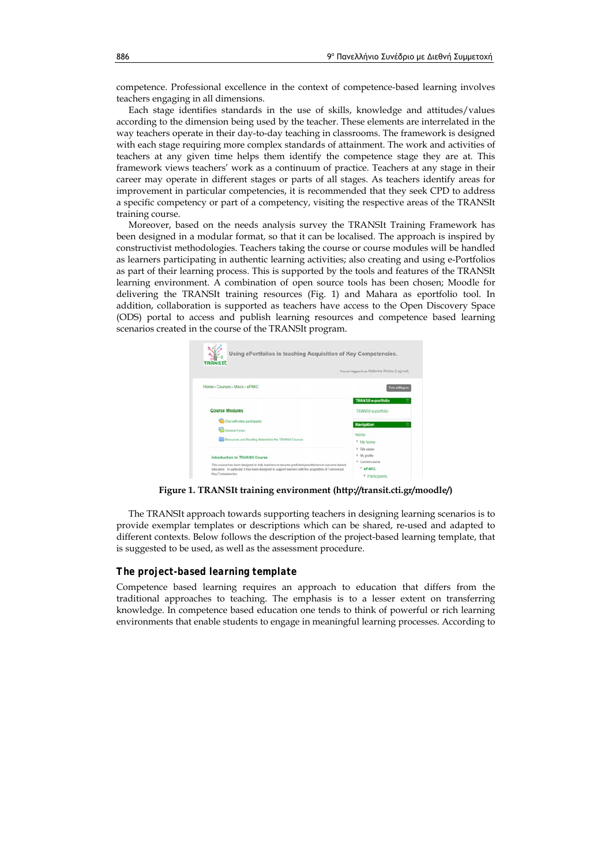competence. Professional excellence in the context of competence-based learning involves teachers engaging in all dimensions.

Each stage identifies standards in the use of skills, knowledge and attitudes/values according to the dimension being used by the teacher. These elements are interrelated in the way teachers operate in their day-to-day teaching in classrooms. The framework is designed with each stage requiring more complex standards of attainment. The work and activities of teachers at any given time helps them identify the competence stage they are at. This framework views teachers' work as a continuum of practice. Teachers at any stage in their career may operate in different stages or parts of all stages. As teachers identify areas for improvement in particular competencies, it is recommended that they seek CPD to address a specific competency or part of a competency, visiting the respective areas of the TRANSIt training course.

Moreover, based on the needs analysis survey the TRANSIt Training Framework has been designed in a modular format, so that it can be localised. The approach is inspired by constructivist methodologies. Teachers taking the course or course modules will be handled as learners participating in authentic learning activities; also creating and using e-Portfolios as part of their learning process. This is supported by the tools and features of the TRANSIt learning environment. A combination of open source tools has been chosen; Moodle for delivering the TRANSIt training resources (Fig. 1) and Mahara as eportfolio tool. In addition, collaboration is supported as teachers have access to the Open Discovery Space (ODS) portal to access and publish learning resources and competence based learning scenarios created in the course of the TRANSIt program.



**Figure 1. TRANSIt training environment (http://transit.cti.gr/moodle/)** 

The TRANSIt approach towards supporting teachers in designing learning scenarios is to provide exemplar templates or descriptions which can be shared, re-used and adapted to different contexts. Below follows the description of the project-based learning template, that is suggested to be used, as well as the assessment procedure.

# *The project-based learning template*

Competence based learning requires an approach to education that differs from the traditional approaches to teaching. The emphasis is to a lesser extent on transferring knowledge. In competence based education one tends to think of powerful or rich learning environments that enable students to engage in meaningful learning processes. According to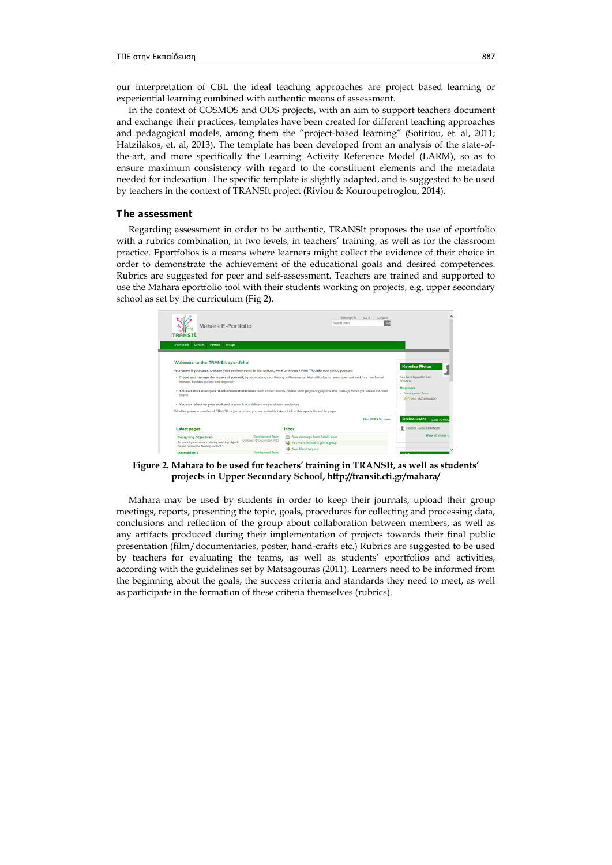our interpretation of CBL the ideal teaching approaches are project based learning or experiential learning combined with authentic means of assessment.

In the context of COSMOS and ODS projects, with an aim to support teachers document and exchange their practices, templates have been created for different teaching approaches and pedagogical models, among them the "project-based learning" (Sotiriou, et. al, 2011; Hatzilakos, et. al, 2013). The template has been developed from an analysis of the state-ofthe-art, and more specifically the Learning Activity Reference Model (LARM), so as to ensure maximum consistency with regard to the constituent elements and the metadata needed for indexation. The specific template is slightly adapted, and is suggested to be used by teachers in the context of TRANSIt project (Riviou & Kouroupetroglou, 2014).

#### *The assessment*

Regarding assessment in order to be authentic, TRANSIt proposes the use of eportfolio with a rubrics combination, in two levels, in teachers' training, as well as for the classroom practice. Eportfolios is a means where learners might collect the evidence of their choice in order to demonstrate the achievement of the educational goals and desired competences. Rubrics are suggested for peer and self-assessment. Teachers are trained and supported to use the Mahara eportfolio tool with their students working on projects, e.g. upper secondary school as set by the curriculum (Fig 2).



**Figure 2. Mahara to be used for teachers' training in TRANSIt, as well as students' projects in Upper Secondary School, http://transit.cti.gr/mahara/** 

Mahara may be used by students in order to keep their journals, upload their group meetings, reports, presenting the topic, goals, procedures for collecting and processing data, conclusions and reflection of the group about collaboration between members, as well as any artifacts produced during their implementation of projects towards their final public presentation (film/documentaries, poster, hand-crafts etc.) Rubrics are suggested to be used by teachers for evaluating the teams, as well as students' eportfolios and activities, according with the guidelines set by Matsagouras (2011). Learners need to be informed from the beginning about the goals, the success criteria and standards they need to meet, as well as participate in the formation of these criteria themselves (rubrics).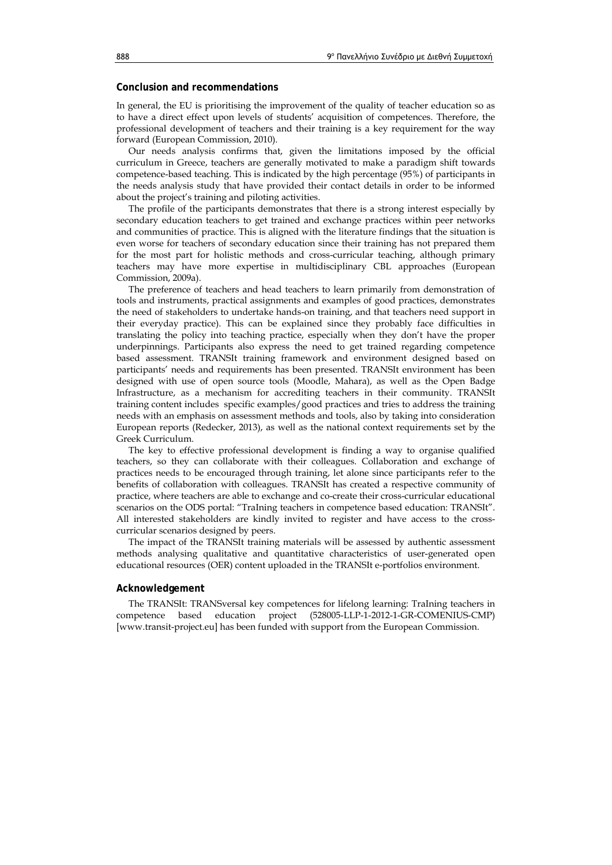# **Conclusion and recommendations**

In general, the EU is prioritising the improvement of the quality of teacher education so as to have a direct effect upon levels of students' acquisition of competences. Therefore, the professional development of teachers and their training is a key requirement for the way forward (European Commission, 2010).

Our needs analysis confirms that, given the limitations imposed by the official curriculum in Greece, teachers are generally motivated to make a paradigm shift towards competence-based teaching. This is indicated by the high percentage (95%) of participants in the needs analysis study that have provided their contact details in order to be informed about the project's training and piloting activities.

The profile of the participants demonstrates that there is a strong interest especially by secondary education teachers to get trained and exchange practices within peer networks and communities of practice. This is aligned with the literature findings that the situation is even worse for teachers of secondary education since their training has not prepared them for the most part for holistic methods and cross-curricular teaching, although primary teachers may have more expertise in multidisciplinary CBL approaches (European Commission, 2009a).

The preference of teachers and head teachers to learn primarily from demonstration of tools and instruments, practical assignments and examples of good practices, demonstrates the need of stakeholders to undertake hands-on training, and that teachers need support in their everyday practice). This can be explained since they probably face difficulties in translating the policy into teaching practice, especially when they don't have the proper underpinnings. Participants also express the need to get trained regarding competence based assessment. TRANSIt training framework and environment designed based on participants' needs and requirements has been presented. TRANSIt environment has been designed with use of open source tools (Moodle, Mahara), as well as the Open Badge Infrastructure, as a mechanism for accrediting teachers in their community. TRANSIt training content includes specific examples/good practices and tries to address the training needs with an emphasis on assessment methods and tools, also by taking into consideration European reports (Redecker, 2013), as well as the national context requirements set by the Greek Curriculum.

The key to effective professional development is finding a way to organise qualified teachers, so they can collaborate with their colleagues. Collaboration and exchange of practices needs to be encouraged through training, let alone since participants refer to the benefits of collaboration with colleagues. TRANSIt has created a respective community of practice, where teachers are able to exchange and co-create their cross-curricular educational scenarios on the ODS portal: "TraIning teachers in competence based education: TRANSIt". All interested stakeholders are kindly invited to register and have access to the crosscurricular scenarios designed by peers.

The impact of the TRANSIt training materials will be assessed by authentic assessment methods analysing qualitative and quantitative characteristics of user-generated open educational resources (OER) content uploaded in the TRANSIt e-portfolios environment.

# **Acknowledgement**

The TRANSIt: TRANSversal key competences for lifelong learning: TraIning teachers in competence based education project (528005-LLP-1-2012-1-GR-COMENIUS-CMP) [www.transit-project.eu] has been funded with support from the European Commission.